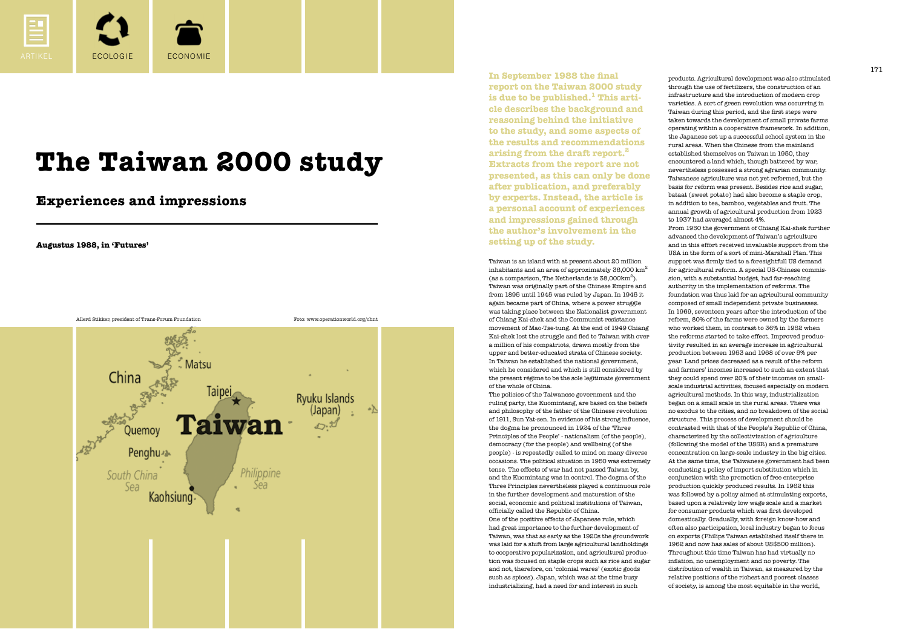

products. Agricultural development was also stimulated through the use of fertilizers, the construction of an infrastructure and the introduction of modern crop varieties. A sort of green revolution was occurring in Taiwan during this period, and the first steps were taken towards the development of small private farms operating within a cooperative framework. In addition, the Japanese set up a successful school system in the rural areas. When the Chinese from the mainland established themselves on Taiwan in 1950, they encountered a land which, though battered by war, nevertheless possessed a strong agrarian community. Taiwanese agriculture was not yet reformed, but the basis for reform was present. Besides rice and sugar, bataat (sweet potato) had also become a staple crop, in addition to tea, bamboo, vegetables and fruit. The annual growth of agricultural production from 1923 to 1937 had averaged almost 4%.

From 1950 the government of Chiang Kai-shek further advanced the development of Taiwan's agriculture and in this effort received invaluable support from the USA in the form of a sort of mini-Marshall Plan. This support was firmly tied to a foresightfull US demand for agricultural reform. A special US-Chinese commission, with a substantial budget, had far-reaching authority in the implementation of reforms. The foundation was thus laid for an agricultural community composed of small independent private businesses. In 1969, seventeen years after the introduction of the reform, 80% of the farms were owned by the farmers who worked them, in contrast to 36% in 1952 when the reforms started to take effect. Improved productivity resulted in an average increase in agricultural production between 1953 and 1968 of over 5% per year. Land prices decreased as a result of the reform and farmers' incomes increased to such an extent that they could spend over 20% of their incomes on smallscale industrial activities, focused especially on modern agricultural methods. In this way, industrialization began on a small scale in the rural areas. There was no exodus to the cities, and no breakdown of the social structure. This process of development should be contrasted with that of the People's Republic of China, characterized by the collectivization of agriculture (following the model of the USSR) and a premature concentration on large-scale industry in the big cities. At the same time, the Taiwanese government had been conducting a policy of import substitution which in conjunction with the promotion of free enterprise production quickly produced results. In 1962 this was followed by a policy aimed at stimulating exports, based upon a relatively low wage scale and a market for consumer products which was first developed domestically. Gradually, with foreign know-how and often also participation, local industry began to focus on exports (Philips Taiwan established itself there in 1962 and now has sales of about US\$500 million). Throughout this time Taiwan has had virtually no inflation, no unemployment and no poverty. The distribution of wealth in Taiwan, as measured by the relative positions of the richest and poorest classes of society, is among the most equitable in the world,

**In September 1988 the final report on the Taiwan 2000 study is due to be published.1 This article describes the background and reasoning behind the initiative to the study, and some aspects of the results and recommendations arising from the draft report.2 Extracts from the report are not presented, as this can only be done after publication, and preferably by experts. Instead, the article is a personal account of experiences and impressions gained through the author's involvement in the setting up of the study.**

Taiwan is an island with at present about 20 million inhabitants and an area of approximately  $36,000$  km<sup>2</sup> (as a comparison, The Netherlands is  $38,000 \text{km}^2$ ). Taiwan was originally part of the Chinese Empire and from 1895 until 1945 was ruled by Japan. In 1945 it again became part of China, where a power struggle was taking place between the Nationalist government of Chiang Kai-shek and the Communist resistance movement of Mao-Tse-tung. At the end of 1949 Chiang Kai-shek lost the struggle and fled to Taiwan with over a million of his compatriots, drawn mostly from the upper and better-educated strata of Chinese society. In Taiwan he established the national government, which he considered and which is still considered by the present régime to be the sole legitimate government of the whole of China. The policies of the Taiwanese government and the ruling party, the Kuomintang, are based on the beliefs and philosophy of the father of the Chinese revolution of 1911, Sun Yat-sen. In evidence of his strong influence, the dogma he pronounced in 1924 of the 'Three Principles of the People' - nationalism (of the people), democracy (for the people) and wellbeing (of the people) - is repeatedly called to mind on many diverse occasions. The political situation in 1950 was extremely tense. The effects of war had not passed Taiwan by, and the Kuomintang was in control. The dogma of the Three Principles nevertheless played a continuous role in the further development and maturation of the social, economic and political institutions of Taiwan, officially called the Republic of China. One of the positive effects of Japanese rule, which had great importance to the further development of Taiwan, was that as early as the 1920s the groundwork was laid for a shift from large agricultural landholdings to cooperative popularization, and agricultural production was focused on staple crops such as rice and sugar and not, therefore, on 'colonial wares' (exotic goods such as spices). Japan, which was at the time busy industrializing, had a need for and interest in such

**Augustus 1988, in 'Futures'**

# **The Taiwan 2000 study**

**Experiences and impressions**

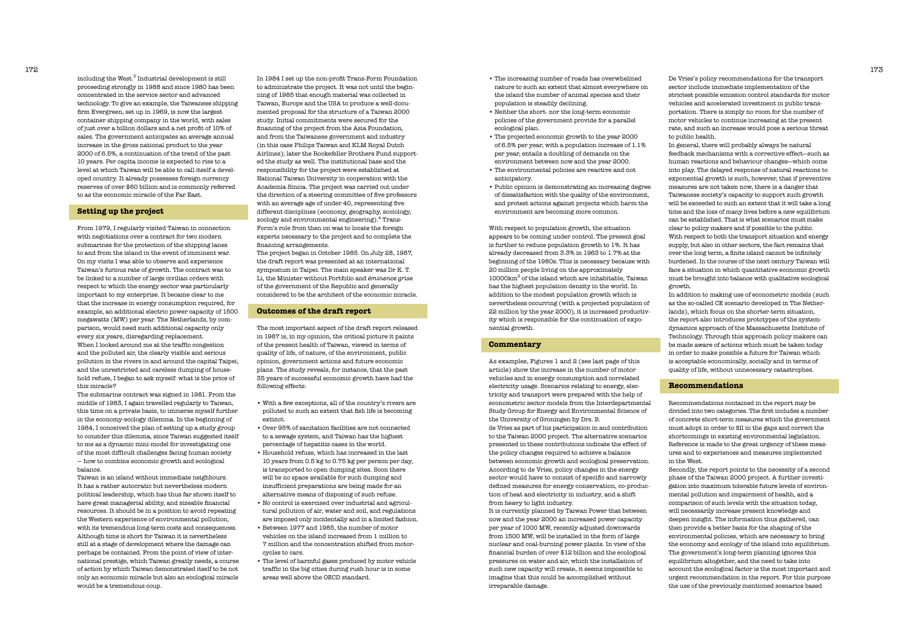In 1984 I set up the non-profit Trans-Form Foundation to administrate the project. It was not until the beginning of 1985 that enough material was collected in Taiwan, Europe and the USA to produce a well-documented proposal for the structure of a Taiwan 2000 study. Initial commitments were secured for the financing of the project from the Asia Foundation, and from the Taiwanese government and industry (in this case Philips Taiwan and KLM Royal Dutch Airlines); later the Rockefeller Brothers Fund supported the study as well. The institutional base and the responsibility for the project were established at National Taiwan University in cooperation with the Academia Sinica. The project was carried out under the direction of a steering committee of five professors with an average age of under 40, representing five different disciplines (economy, geography, sociology, zoology and environmental engineering).<sup>4</sup> Trans-Form's role from then on was to locate the foreign experts necessary to the project and to complete the financing arrangements.

The project began in October 1985. On July 28, 1987, the draft report was presented at an international symposium in Taipei. The main speaker was Dr K. T. Li, the Minister without Portfolio and *éminence grise* of the government of the Republic and generally considered to be the architect of the economic miracle.

# **Outcomes of the draft report**

The most important aspect of the draft report released in 1987 is, in my opinion, the critical picture it paints of the present health of Taiwan, viewed in terms of quality of life, of nature, of the environment, public opinion, government actions and future economic plans. The study reveals, for instance, that the past 35 years of successful economic growth have had the following effects:

including the West. $^{\rm 3}$  Industrial development is still proceeding strongly in 1988 and since 1980 has been concentrated in the service sector and advanced technology. To give an example, the Taiwanese shipping firm Evergreen, set up in 1969, is now the largest container shipping company in the world, with sales of just over a billion dollars and a net profit of 10% of sales. The government anticipates an average annual increase in the gross national product to the year 2000 of 6.5%, a continuation of the trend of the past 10 years. Per capita income is expected to rise to a level at which Taiwan will be able to call itself a developed country. It already possesses foreign currency reserves of over \$60 billion and is commonly referred to as the economic miracle of the Far East.

- With a few exceptions, all of the country's rivers are polluted to such an extent that fish life is becoming extinct.
- Over 95% of sanitation facilities are not connected to a sewage system, and Taiwan has the highest percentage of hepatitis cases in the world.
- Household refuse, which has increased in the last 10 years from 0.5 kg to 0.75 kg per person per day, is transported to open dumping sites. Soon there will be no space available for such dumping and insufficient preparations are being made for an alternative means of disposing of such refuse.
- No control is exercised over industrial and agricultural pollution of air, water and soil, and regulations are imposed only incidentally and in a limited fashion.
- Between 1977 and 1985, the number of motor vehicles on the island increased from 1 million to 7 million and the concentration shifted from motorcycles to cars.
- The level of harmful gases produced by motor vehicle traffic in the big cities during rush hour is in some areas well above the OECD standard.

## **Setting up the project**

From 1979, I regularly visited Taiwan in connection with negotiations over a contract for two modern submarines for the protection of the shipping lanes to and from the island in the event of imminent war. On my visits I was able to observe and experience Taiwan's furious rate of growth. The contract was to be linked to a number of large civilian orders with respect to which the energy sector was particularly important to my enterprise. It became clear to me that the increase in energy consumption required, for example, an additional electric power capacity of 1500 megawatts (MW) per year. The Netherlands, by comparison, would need such additional capacity only every six years, disregarding replacement. When I looked around me at the traffic congestion and the polluted air, the clearly visible and serious pollution in the rivers in and around the capital Taipei, and the unrestricted and careless dumping of household refuse, I began to ask myself: what is the price of this miracle?

The submarine contract was signed in 1981. From the middle of 1983, I again travelled regularly to Taiwan, this time on a private basis, to immerse myself further in the economy-ecology dilemma. In the beginning of 1984, I conceived the plan of setting up a study group to consider this dilemma, since Taiwan suggested itself to me as a dynamic mini-model for investigating one of the most difficult challenges facing human society — how to combine economic growth and ecological balance.

Taiwan is an island without immediate neighbours. It has a rather autocratic but nevertheless modern political leadership, which has thus far shown itself to have great managerial ability, and sizeable financial resources. It should be in a position to avoid repeating the Western experience of environmental pollution, with its tremendous long-term costs and consequences. Although time is short for Taiwan it is nevertheless still at a stage of development where the damage can perhaps be contained. From the point of view of international prestige, which Taiwan greatly needs, a course of action by which Taiwan demonstrated itself to be not only an economic miracle but also an ecological miracle would be a tremendous coup.

De Vries's policy recommendations for the transport sector include immediate implementation of the strictest possible emission control standards for motor vehicles and accelerated investment in public transportation. There is simply no room for the number of motor vehicles to continue increasing at the present rate, and such an increase would pose a serious threat to public health.

In general, there will probably always be natural feedback mechanisms with a corrective effect—such as human reactions and behaviour changes—which come into play. The delayed response of natural reactions to exponential growth is such, however, that if preventive measures are not taken now, there is a danger that Taiwanese society's capacity to support such growth will be exceeded to such an extent that it will take a long time and the loss of many lives before a new equilibrium can be established. That is what scenarios must make clear to policy makers and if possible to the public. With respect to both the transport situation and energy supply, but also in other sectors, the fact remains that over the long term, a finite island cannot be infinitely burdened. In the course of the next century Taiwan will face a situation in which quantitative economic growth must be brought into balance with qualitative ecological growth.

In addition to making use of econometric models (such as the so-called CE scenario developed in The Netherlands), which focus on the shorter-term situation, the report also introduces prototypes of the systemdynamics approach of the Massachusetts Institute of Technology. Through this approach policy makers can be made aware of actions which must be taken today in order to make possible a future for Taiwan which is acceptable economically, socially and in terms of quality of life, without unnecessary catastrophes.

# **Recommendations**

Recommendations contained in the report may be divided into two categories. The first includes a number of concrete short-term measures which the government must adopt in order to fill in the gaps and correct the shortcomings in existing environmental legislation. Reference is made to the great urgency of these measures and to experiences and measures implemented in the West.

Secondly, the report points to the necessity of a second phase of the Taiwan 2000 project. A further investigation into maximum tolerable future levels of environmental pollution and impairment of health, and a comparison of such levels with the situation today, will necessarily increase present knowledge and deepen insight. The information thus gathered, can then provide a better basis for the shaping of the environmental policies, which are necessary to bring the economy and ecology of the island into equilibrium. The government's long-term planning ignores this equilibrium altogether, and the need to take into account the ecological factor is the most important and urgent recommendation in the report. For this purpose the use of the previously mentioned scenarios based

• The increasing number of roads has overwhelmed nature to such an extent that almost everywhere on the island the number of animal species and their

• Neither the short- nor the long-term economic policies of the government provide for a parallel

- population is steadily declining.
- ecological plan.
- 
- anticipatory.

• The projected economic growth to the year 2000 of 6.5% per year, with a population increase of 1.1% per year, entails a doubling of demands on the environment between now and the year 2000. • The environmental policies are reactive and not

• Public opinion is demonstrating an increasing degree of dissatisfaction with the quality of the environment, and protest actions against projects which harm the environment are becoming more common.

With respect to population growth, the situation appears to be coming under control. The present goal is further to reduce population growth to 1%. It has already decreased from 3.3% in 1963 to 1.7% at the beginning of the 1980s. This is necessary because with 20 million people living on the approximately 10000km<sup>2</sup> of the island which are inhabitable, Taiwan has the highest population density in the world. In addition to the modest population growth which is nevertheless occurring (with a projected population of 22 million by the year 2000), it is increased productivity which is responsible for the continuation of exponential growth.

### **Commentary**

As examples, Figures 1 and 2 (see last page of this article) show the increase in the number of motor vehicles and in energy consumption and correlated electricity usage. Scenarios relating to energy, electricity and transport were prepared with the help of econometric sector models from the Interdepartmental Study Group for Energy and Environmental Science of the University of Groningen by Drs. B. de Vries as part of his participation in and contribution to the Taiwan 2000 project. The alternative scenarios presented in these contributions indicate the effect of the policy changes required to achieve a balance between economic growth and ecological preservation. According to de Vries, policy changes in the energy sector would have to consist of specific and narrowly defined measures for energy conservation, co-production of heat and electricity in industry, and a shift from heavy to light industry. It is currently planned by Taiwan Power that between now and the year 2000 an increased power capacity per year of 1000 MW, recently adjusted downwards from 1500 MW, will be installed in the form of large nuclear and coal-burning power plants. In view of the financial burden of over \$12 billion and the ecological pressures on water and air, which the installation of such new capacity will create, it seems impossible to imagine that this could be accomplished without irreparable damage.